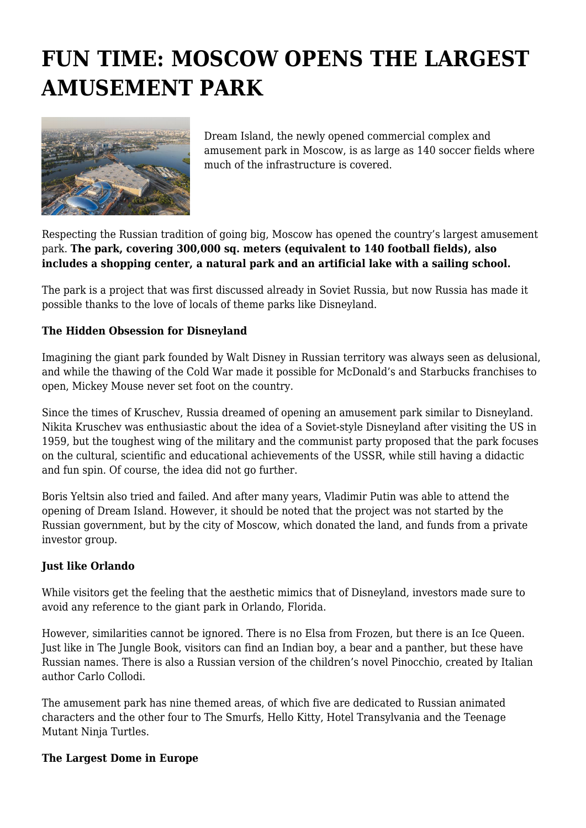## **FUN TIME: MOSCOW OPENS THE LARGEST AMUSEMENT PARK**



Dream Island, the newly opened commercial complex and amusement park in Moscow, is as large as 140 soccer fields where much of the infrastructure is covered.

Respecting the Russian tradition of going big, Moscow has opened the country's largest amusement park. **The park, covering 300,000 sq. meters (equivalent to 140 football fields), also includes a shopping center, a natural park and an artificial lake with a sailing school.**

The park is a project that was first discussed already in Soviet Russia, but now Russia has made it possible thanks to the love of locals of theme parks like Disneyland.

## **The Hidden Obsession for Disneyland**

Imagining the giant park founded by Walt Disney in Russian territory was always seen as delusional, and while the thawing of the Cold War made it possible for McDonald's and Starbucks franchises to open, Mickey Mouse never set foot on the country.

Since the times of Kruschev, Russia dreamed of opening an amusement park similar to Disneyland. Nikita Kruschev was enthusiastic about the idea of a Soviet-style Disneyland after visiting the US in 1959, but the toughest wing of the military and the communist party proposed that the park focuses on the cultural, scientific and educational achievements of the USSR, while still having a didactic and fun spin. Of course, the idea did not go further.

Boris Yeltsin also tried and failed. And after many years, Vladimir Putin was able to attend the opening of Dream Island. However, it should be noted that the project was not started by the Russian government, but by the city of Moscow, which donated the land, and funds from a private investor group.

## **Just like Orlando**

While visitors get the feeling that the aesthetic mimics that of Disneyland, investors made sure to avoid any reference to the giant park in Orlando, Florida.

However, similarities cannot be ignored. There is no Elsa from Frozen, but there is an Ice Queen. Just like in The Jungle Book, visitors can find an Indian boy, a bear and a panther, but these have Russian names. There is also a Russian version of the children's novel Pinocchio, created by Italian author Carlo Collodi.

The amusement park has nine themed areas, of which five are dedicated to Russian animated characters and the other four to The Smurfs, Hello Kitty, Hotel Transylvania and the Teenage Mutant Ninja Turtles.

## **The Largest Dome in Europe**